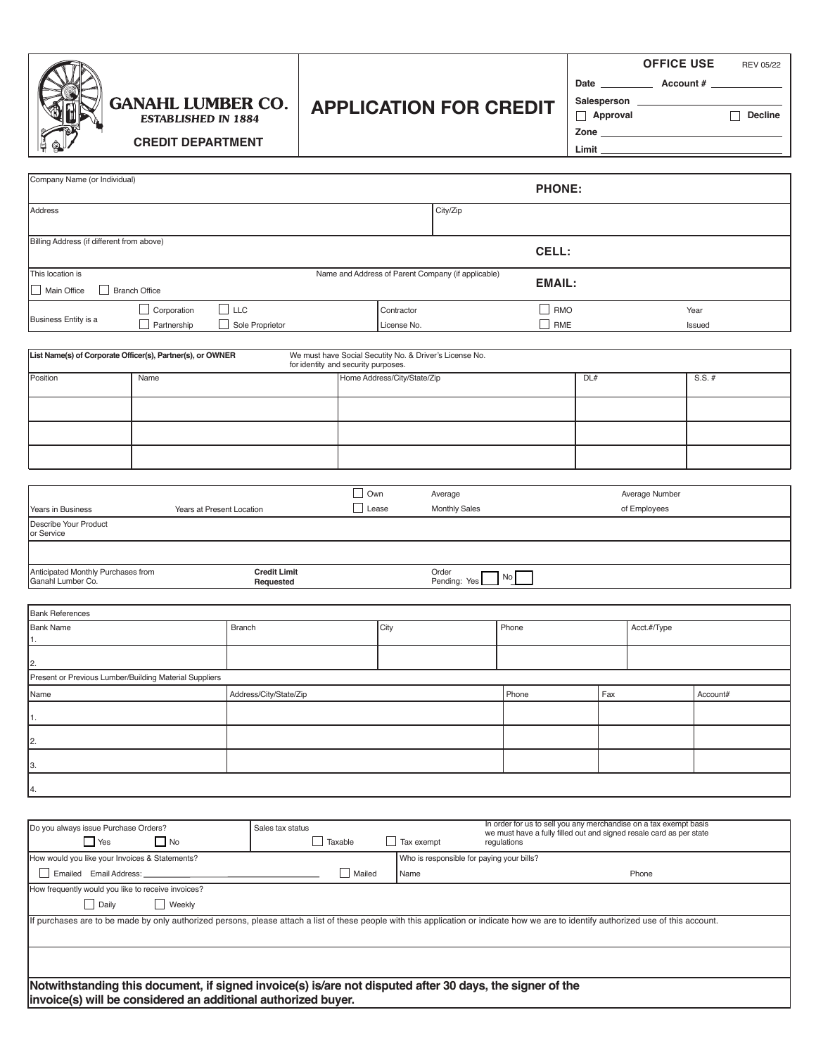|--|

### **GANAHL LUMBER CO. ESTABLISHED IN 1884**

# **APPLICATION FOR CREDIT**

**APPLICATION FOR CREDIT OFFICE USE** REV 05/22

**Account #**

**Approval**

Date

**Zone**

Salesperson

**Limit Decline**

**CREDIT DEPARTMENT**

| Company Name (or Individual)                                                 |                           |                                                                                                                                                                                       |                            |                                                         |                                                                   | <b>PHONE:</b>                                                                                                                            |     |             |          |
|------------------------------------------------------------------------------|---------------------------|---------------------------------------------------------------------------------------------------------------------------------------------------------------------------------------|----------------------------|---------------------------------------------------------|-------------------------------------------------------------------|------------------------------------------------------------------------------------------------------------------------------------------|-----|-------------|----------|
| Address                                                                      |                           |                                                                                                                                                                                       |                            | City/Zip                                                |                                                                   |                                                                                                                                          |     |             |          |
| Billing Address (if different from above)                                    |                           |                                                                                                                                                                                       |                            |                                                         | CELL:                                                             |                                                                                                                                          |     |             |          |
| This location is                                                             |                           |                                                                                                                                                                                       |                            |                                                         | Name and Address of Parent Company (if applicable)                |                                                                                                                                          |     |             |          |
| Branch Office<br>Main Office                                                 |                           |                                                                                                                                                                                       |                            |                                                         |                                                                   | <b>EMAIL:</b>                                                                                                                            |     |             |          |
|                                                                              | $\Box$ Corporation        | $\Box$ LLC                                                                                                                                                                            |                            | Contractor                                              |                                                                   | $\Box$ RMO                                                                                                                               |     |             | Year     |
| Business Entity is a                                                         | Partnership               | Sole Proprietor                                                                                                                                                                       |                            | License No.                                             |                                                                   | $\Box$ RME                                                                                                                               |     |             | Issued   |
| List Name(s) of Corporate Officer(s), Partner(s), or OWNER                   |                           | for identity and security purposes.                                                                                                                                                   |                            | We must have Social Secutity No. & Driver's License No. |                                                                   |                                                                                                                                          |     |             |          |
| Position                                                                     | Name                      |                                                                                                                                                                                       |                            | Home Address/City/State/Zip                             |                                                                   |                                                                                                                                          | DL# |             | $S.S.$ # |
|                                                                              |                           |                                                                                                                                                                                       |                            |                                                         |                                                                   |                                                                                                                                          |     |             |          |
|                                                                              |                           |                                                                                                                                                                                       |                            |                                                         |                                                                   |                                                                                                                                          |     |             |          |
|                                                                              |                           |                                                                                                                                                                                       |                            |                                                         |                                                                   |                                                                                                                                          |     |             |          |
|                                                                              |                           |                                                                                                                                                                                       |                            |                                                         |                                                                   |                                                                                                                                          |     |             |          |
| Years in Business                                                            | Years at Present Location |                                                                                                                                                                                       | $\Box$ Own<br>$\Box$ Lease |                                                         | Average<br>Average Number<br><b>Monthly Sales</b><br>of Employees |                                                                                                                                          |     |             |          |
| Describe Your Product<br>or Service                                          |                           |                                                                                                                                                                                       |                            |                                                         |                                                                   |                                                                                                                                          |     |             |          |
|                                                                              |                           |                                                                                                                                                                                       |                            |                                                         |                                                                   |                                                                                                                                          |     |             |          |
| Anticipated Monthly Purchases from<br>Ganahl Lumber Co.                      |                           | <b>Credit Limit</b><br>Requested                                                                                                                                                      |                            |                                                         | Order<br>Pending: Yes                                             | No                                                                                                                                       |     |             |          |
|                                                                              |                           |                                                                                                                                                                                       |                            |                                                         |                                                                   |                                                                                                                                          |     |             |          |
| <b>Bank References</b>                                                       |                           |                                                                                                                                                                                       |                            |                                                         |                                                                   |                                                                                                                                          |     |             |          |
| <b>Bank Name</b>                                                             |                           | Branch                                                                                                                                                                                |                            | City                                                    |                                                                   | Phone                                                                                                                                    |     | Acct.#/Type |          |
| 2.                                                                           |                           |                                                                                                                                                                                       |                            |                                                         |                                                                   |                                                                                                                                          |     |             |          |
| Present or Previous Lumber/Building Material Suppliers                       |                           |                                                                                                                                                                                       |                            |                                                         |                                                                   |                                                                                                                                          |     |             |          |
| Name                                                                         |                           | Address/City/State/Zip                                                                                                                                                                |                            |                                                         |                                                                   | Phone                                                                                                                                    | Fax |             | Account# |
| 1.                                                                           |                           |                                                                                                                                                                                       |                            |                                                         |                                                                   |                                                                                                                                          |     |             |          |
| 2.                                                                           |                           |                                                                                                                                                                                       |                            |                                                         |                                                                   |                                                                                                                                          |     |             |          |
| 3.                                                                           |                           |                                                                                                                                                                                       |                            |                                                         |                                                                   |                                                                                                                                          |     |             |          |
| 4.                                                                           |                           |                                                                                                                                                                                       |                            |                                                         |                                                                   |                                                                                                                                          |     |             |          |
|                                                                              |                           |                                                                                                                                                                                       |                            |                                                         |                                                                   |                                                                                                                                          |     |             |          |
| Do you always issue Purchase Orders?                                         |                           | Sales tax status                                                                                                                                                                      |                            |                                                         |                                                                   | In order for us to sell you any merchandise on a tax exempt basis<br>we must have a fully filled out and signed resale card as per state |     |             |          |
| $\Box$ Yes                                                                   | $\Box$ No                 | $\Box$ Taxable                                                                                                                                                                        |                            | Tax exempt                                              |                                                                   | regulations                                                                                                                              |     |             |          |
| How would you like your Invoices & Statements?                               |                           |                                                                                                                                                                                       |                            |                                                         | Who is responsible for paying your bills?                         |                                                                                                                                          |     |             |          |
| Emailed Email Address:<br>Mailed<br>Phone<br>Name                            |                           |                                                                                                                                                                                       |                            |                                                         |                                                                   |                                                                                                                                          |     |             |          |
| How frequently would you like to receive invoices?<br>$\Box$ Daily<br>Weekly |                           |                                                                                                                                                                                       |                            |                                                         |                                                                   |                                                                                                                                          |     |             |          |
|                                                                              |                           | If purchases are to be made by only authorized persons, please attach a list of these people with this application or indicate how we are to identify authorized use of this account. |                            |                                                         |                                                                   |                                                                                                                                          |     |             |          |
|                                                                              |                           |                                                                                                                                                                                       |                            |                                                         |                                                                   |                                                                                                                                          |     |             |          |

**Notwithstanding this document, if signed invoice(s) is/are not disputed after 30 days, the signer of the invoice(s) will be considered an additional authorized buyer.**